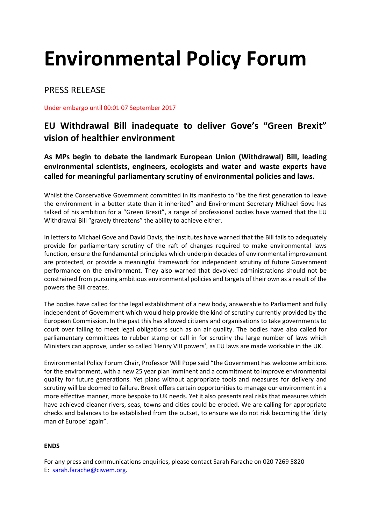# **Environmental Policy Forum**

PRESS RELEASE

Under embargo until 00:01 07 September 2017

## **EU Withdrawal Bill inadequate to deliver Gove's "Green Brexit" vision of healthier environment**

**As MPs begin to debate the landmark European Union (Withdrawal) Bill, leading environmental scientists, engineers, ecologists and water and waste experts have called for meaningful parliamentary scrutiny of environmental policies and laws.** 

Whilst the Conservative Government committed in its manifesto to "be the first generation to leave the environment in a better state than it inherited" and Environment Secretary Michael Gove has talked of his ambition for a "Green Brexit", a range of professional bodies have warned that the EU Withdrawal Bill "gravely threatens" the ability to achieve either.

In letters to Michael Gove and David Davis, the institutes have warned that the Bill fails to adequately provide for parliamentary scrutiny of the raft of changes required to make environmental laws function, ensure the fundamental principles which underpin decades of environmental improvement are protected, or provide a meaningful framework for independent scrutiny of future Government performance on the environment. They also warned that devolved administrations should not be constrained from pursuing ambitious environmental policies and targets of their own as a result of the powers the Bill creates.

The bodies have called for the legal establishment of a new body, answerable to Parliament and fully independent of Government which would help provide the kind of scrutiny currently provided by the European Commission. In the past this has allowed citizens and organisations to take governments to court over failing to meet legal obligations such as on air quality. The bodies have also called for parliamentary committees to rubber stamp or call in for scrutiny the large number of laws which Ministers can approve, under so called 'Henry VIII powers', as EU laws are made workable in the UK.

Environmental Policy Forum Chair, Professor Will Pope said "the Government has welcome ambitions for the environment, with a new 25 year plan imminent and a commitment to improve environmental quality for future generations. Yet plans without appropriate tools and measures for delivery and scrutiny will be doomed to failure. Brexit offers certain opportunities to manage our environment in a more effective manner, more bespoke to UK needs. Yet it also presents real risks that measures which have achieved cleaner rivers, seas, towns and cities could be eroded. We are calling for appropriate checks and balances to be established from the outset, to ensure we do not risk becoming the 'dirty man of Europe' again".

#### **ENDS**

For any press and communications enquiries, please contact Sarah Farache on 020 7269 5820 E: [sarah.farache@ciwem.org.](mailto:sarah.farache@ciwem.org)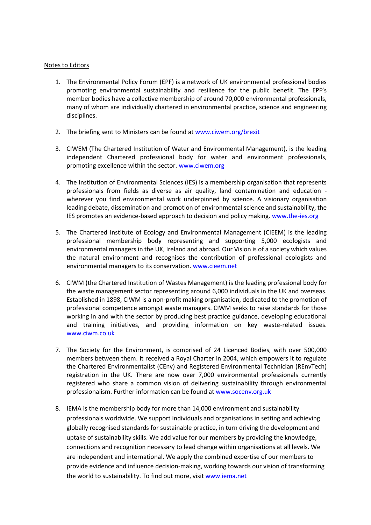#### Notes to Editors

- 1. The Environmental Policy Forum (EPF) is a network of UK environmental professional bodies promoting environmental sustainability and resilience for the public benefit. The EPF's member bodies have a collective membership of around 70,000 environmental professionals, many of whom are individually chartered in environmental practice, science and engineering disciplines.
- 2. The briefing sent to Ministers can be found at [www.ciwem.org/brexit](http://www.ciwem.org/brexit)
- 3. CIWEM (The Chartered Institution of Water and Environmental Management), is the leading independent Chartered professional body for water and environment professionals, promoting excellence within the sector. [www.ciwem.org](http://www.ciwem.org/)
- 4. The Institution of Environmental Sciences (IES) is a membership organisation that represents professionals from fields as diverse as air quality, land contamination and education wherever you find environmental work underpinned by science. A visionary organisation leading debate, dissemination and promotion of environmental science and sustainability, the IES promotes an evidence-based approach to decision and policy making. [www.the-ies.org](http://www.the-ies.org/)
- 5. The Chartered Institute of Ecology and Environmental Management (CIEEM) is the leading professional membership body representing and supporting 5,000 ecologists and environmental managers in the UK, Ireland and abroad. Our Vision is of a society which values the natural environment and recognises the contribution of professional ecologists and environmental managers to its conservation. [www.cieem.net](http://www.cieem.net/)
- 6. CIWM (the Chartered Institution of Wastes Management) is the leading professional body for the waste management sector representing around 6,000 individuals in the UK and overseas. Established in 1898, CIWM is a non-profit making organisation, dedicated to the promotion of professional competence amongst waste managers. CIWM seeks to raise standards for those working in and with the sector by producing best practice guidance, developing educational and training initiatives, and providing information on key waste-related issues. [www.ciwm.co.uk](http://www.ciwm.co.uk/)
- 7. The Society for the Environment, is comprised of 24 Licenced Bodies, with over 500,000 members between them. It received a Royal Charter in 2004, which empowers it to regulate the Chartered Environmentalist (CEnv) and Registered Environmental Technician (REnvTech) registration in the UK. There are now over 7,000 environmental professionals currently registered who share a common vision of delivering sustainability through environmental professionalism. Further information can be found at [www.socenv.org.uk](http://www.socenv.org.uk/)
- 8. IEMA is the membership body for more than 14,000 environment and sustainability professionals worldwide. We support individuals and organisations in setting and achieving globally recognised standards for sustainable practice, in turn driving the development and uptake of sustainability skills. We add value for our members by providing the knowledge, connections and recognition necessary to lead change within organisations at all levels. We are independent and international. We apply the combined expertise of our members to provide evidence and influence decision-making, working towards our vision of transforming the world to sustainability. To find out more, visi[t www.iema.net](http://www.iema.net/)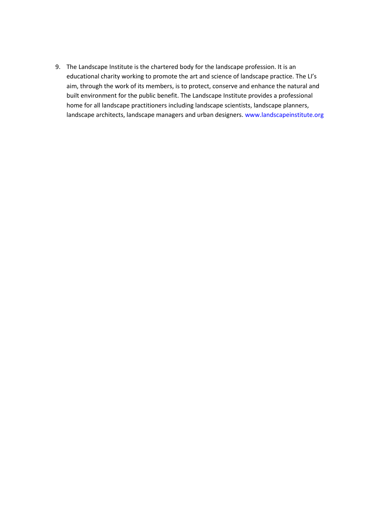9. The Landscape Institute is the chartered body for the landscape profession. It is an educational charity working to promote the art and science of landscape practice. The LI's aim, through the work of its members, is to protect, conserve and enhance the natural and built environment for the public benefit. The Landscape Institute provides a professional home for all landscape practitioners including landscape scientists, landscape planners, landscape architects, landscape managers and urban designers. [www.landscapeinstitute.org](http://www.landscapeinstitute.org/)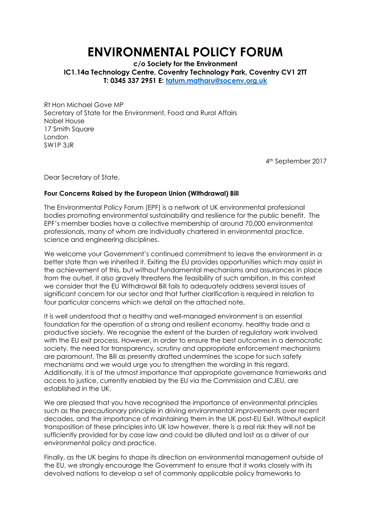# **ENVIRONMENTAL POLICY FORUM**

**c/o Society for the Environment IC1.14a Technology Centre, Coventry Technology Park, Coventry CV1 2TT T: 0345 337 2951 E: [tatum.matharu@socenv.org.uk](mailto:tatum.matharu@socenv.org.uk)**

Rt Hon Michael Gove MP Secretary of State for the Environment, Food and Rural Affairs Nobel House 17 Smith Square London SW1P 3JR

4th September 2017

Dear Secretary of State,

#### **Four Concerns Raised by the European Union (Withdrawal) Bill**

The Environmental Policy Forum (EPF) is a network of UK environmental professional bodies promoting environmental sustainability and resilience for the public benefit. The EPF's member bodies have a collective membership of around 70,000 environmental professionals, many of whom are individually chartered in environmental practice, science and engineering disciplines.

We welcome your Government's continued commitment to leave the environment in a better state than we inherited it. Exiting the EU provides opportunities which may assist in the achievement of this, but without fundamental mechanisms and assurances in place from the outset, it also gravely threatens the feasibility of such ambition. In this context we consider that the EU Withdrawal Bill fails to adequately address several issues of significant concern for our sector and that further clarification is required in relation to four particular concerns which we detail on the attached note.

It is well understood that a healthy and well-managed environment is an essential foundation for the operation of a strong and resilient economy, healthy trade and a productive society. We recognise the extent of the burden of regulatory work involved with the EU exit process. However, in order to ensure the best outcomes in a democratic society, the need for transparency, scrutiny and appropriate enforcement mechanisms are paramount. The Bill as presently drafted undermines the scope for such safety mechanisms and we would urge you to strengthen the wording in this regard. Additionally, it is of the utmost importance that appropriate governance frameworks and access to justice, currently enabled by the EU via the Commission and CJEU, are established in the UK.

We are pleased that you have recognised the importance of environmental principles such as the precautionary principle in driving environmental improvements over recent decades, and the importance of maintaining them in the UK post-EU Exit. Without explicit transposition of these principles into UK law however, there is a real risk they will not be sufficiently provided for by case law and could be diluted and lost as a driver of our environmental policy and practice.

Finally, as the UK begins to shape its direction on environmental management outside of the EU, we strongly encourage the Government to ensure that it works closely with its devolved nations to develop a set of commonly applicable policy frameworks to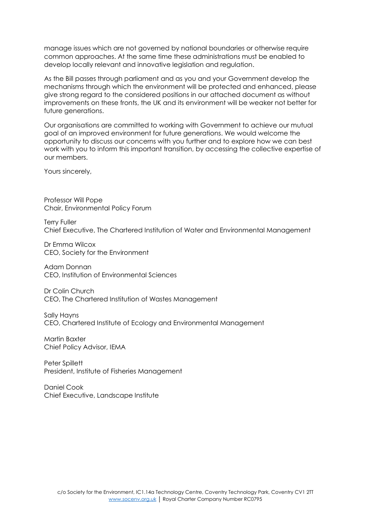manage issues which are not governed by national boundaries or otherwise require common approaches. At the same time these administrations must be enabled to develop locally relevant and innovative legislation and regulation.

As the Bill passes through parliament and as you and your Government develop the mechanisms through which the environment will be protected and enhanced, please give strong regard to the considered positions in our attached document as without improvements on these fronts, the UK and its environment will be weaker not better for future generations.

Our organisations are committed to working with Government to achieve our mutual goal of an improved environment for future generations. We would welcome the opportunity to discuss our concerns with you further and to explore how we can best work with you to inform this important transition, by accessing the collective expertise of our members.

Yours sincerely,

Professor Will Pope Chair, Environmental Policy Forum

Terry Fuller Chief Executive, The Chartered Institution of Water and Environmental Management

Dr Emma Wilcox CEO, Society for the Environment

Adam Donnan CEO, Institution of Environmental Sciences

Dr Colin Church CEO, The Chartered Institution of Wastes Management

Sally Hayns CEO, Chartered Institute of Ecology and Environmental Management

Martin Baxter Chief Policy Advisor, IEMA

Peter Spillett President, Institute of Fisheries Management

Daniel Cook Chief Executive, Landscape Institute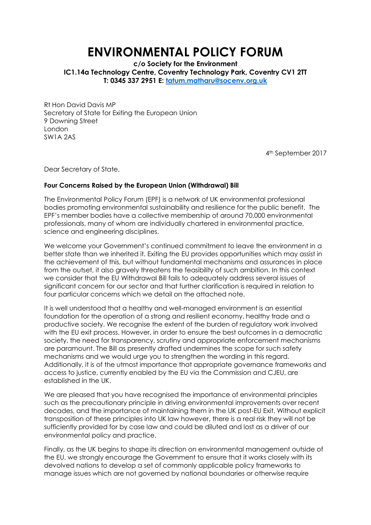# **ENVIRONMENTAL POLICY FORUM**

**c/o Society for the Environment IC1.14a Technology Centre, Coventry Technology Park, Coventry CV1 2TT T: 0345 337 2951 E: [tatum.matharu@socenv.org.uk](mailto:tatum.matharu@socenv.org.uk)**

Rt Hon David Davis MP Secretary of State for Exiting the European Union 9 Downing Street London SW1A 2AS

4th September 2017

Dear Secretary of State,

#### **Four Concerns Raised by the European Union (Withdrawal) Bill**

The Environmental Policy Forum (EPF) is a network of UK environmental professional bodies promoting environmental sustainability and resilience for the public benefit. The EPF's member bodies have a collective membership of around 70,000 environmental professionals, many of whom are individually chartered in environmental practice, science and engineering disciplines.

We welcome your Government's continued commitment to leave the environment in a better state than we inherited it. Exiting the EU provides opportunities which may assist in the achievement of this, but without fundamental mechanisms and assurances in place from the outset, it also gravely threatens the feasibility of such ambition. In this context we consider that the EU Withdrawal Bill fails to adequately address several issues of significant concern for our sector and that further clarification is required in relation to four particular concerns which we detail on the attached note.

It is well understood that a healthy and well-managed environment is an essential foundation for the operation of a strong and resilient economy, healthy trade and a productive society. We recognise the extent of the burden of regulatory work involved with the EU exit process. However, in order to ensure the best outcomes in a democratic society, the need for transparency, scrutiny and appropriate enforcement mechanisms are paramount. The Bill as presently drafted undermines the scope for such safety mechanisms and we would urge you to strengthen the wording in this regard. Additionally, it is of the utmost importance that appropriate governance frameworks and access to justice, currently enabled by the EU via the Commission and CJEU, are established in the UK.

We are pleased that you have recognised the importance of environmental principles such as the precautionary principle in driving environmental improvements over recent decades, and the importance of maintaining them in the UK post-EU Exit. Without explicit transposition of these principles into UK law however, there is a real risk they will not be sufficiently provided for by case law and could be diluted and lost as a driver of our environmental policy and practice.

Finally, as the UK begins to shape its direction on environmental management outside of the EU, we strongly encourage the Government to ensure that it works closely with its devolved nations to develop a set of commonly applicable policy frameworks to manage issues which are not governed by national boundaries or otherwise require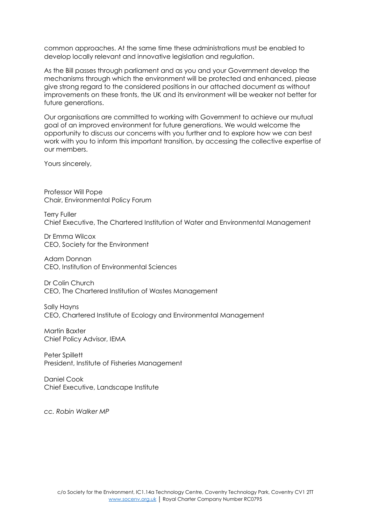common approaches. At the same time these administrations must be enabled to develop locally relevant and innovative legislation and regulation.

As the Bill passes through parliament and as you and your Government develop the mechanisms through which the environment will be protected and enhanced, please give strong regard to the considered positions in our attached document as without improvements on these fronts, the UK and its environment will be weaker not better for future generations.

Our organisations are committed to working with Government to achieve our mutual goal of an improved environment for future generations. We would welcome the opportunity to discuss our concerns with you further and to explore how we can best work with you to inform this important transition, by accessing the collective expertise of our members.

Yours sincerely,

Professor Will Pope Chair, Environmental Policy Forum

Terry Fuller Chief Executive, The Chartered Institution of Water and Environmental Management

Dr Emma Wilcox CEO, Society for the Environment

Adam Donnan CEO, Institution of Environmental Sciences

Dr Colin Church CEO, The Chartered Institution of Wastes Management

Sally Hayns CEO, Chartered Institute of Ecology and Environmental Management

Martin Baxter Chief Policy Advisor, IEMA

Peter Spillett President, Institute of Fisheries Management

Daniel Cook Chief Executive, Landscape Institute

*cc. Robin Walker MP*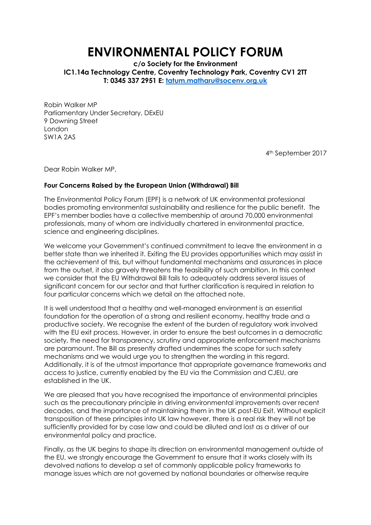# **ENVIRONMENTAL POLICY FORUM**

**c/o Society for the Environment IC1.14a Technology Centre, Coventry Technology Park, Coventry CV1 2TT T: 0345 337 2951 E: [tatum.matharu@socenv.org.uk](mailto:tatum.matharu@socenv.org.uk)**

Robin Walker MP Parliamentary Under Secretary, DExEU 9 Downing Street London SW1A 2AS

4th September 2017

Dear Robin Walker MP,

#### **Four Concerns Raised by the European Union (Withdrawal) Bill**

The Environmental Policy Forum (EPF) is a network of UK environmental professional bodies promoting environmental sustainability and resilience for the public benefit. The EPF's member bodies have a collective membership of around 70,000 environmental professionals, many of whom are individually chartered in environmental practice, science and engineering disciplines.

We welcome your Government's continued commitment to leave the environment in a better state than we inherited it. Exiting the EU provides opportunities which may assist in the achievement of this, but without fundamental mechanisms and assurances in place from the outset, it also gravely threatens the feasibility of such ambition. In this context we consider that the EU Withdrawal Bill fails to adequately address several issues of significant concern for our sector and that further clarification is required in relation to four particular concerns which we detail on the attached note.

It is well understood that a healthy and well-managed environment is an essential foundation for the operation of a strong and resilient economy, healthy trade and a productive society. We recognise the extent of the burden of regulatory work involved with the EU exit process. However, in order to ensure the best outcomes in a democratic society, the need for transparency, scrutiny and appropriate enforcement mechanisms are paramount. The Bill as presently drafted undermines the scope for such safety mechanisms and we would urge you to strengthen the wording in this regard. Additionally, it is of the utmost importance that appropriate governance frameworks and access to justice, currently enabled by the EU via the Commission and CJEU, are established in the UK.

We are pleased that you have recognised the importance of environmental principles such as the precautionary principle in driving environmental improvements over recent decades, and the importance of maintaining them in the UK post-EU Exit. Without explicit transposition of these principles into UK law however, there is a real risk they will not be sufficiently provided for by case law and could be diluted and lost as a driver of our environmental policy and practice.

Finally, as the UK begins to shape its direction on environmental management outside of the EU, we strongly encourage the Government to ensure that it works closely with its devolved nations to develop a set of commonly applicable policy frameworks to manage issues which are not governed by national boundaries or otherwise require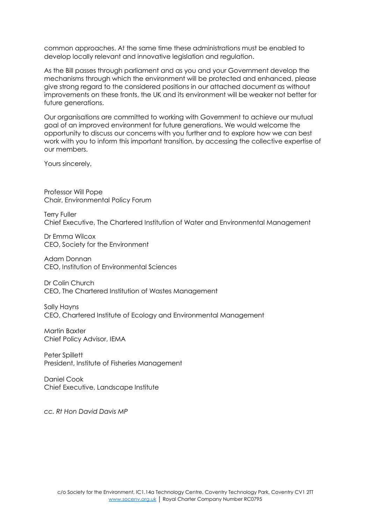common approaches. At the same time these administrations must be enabled to develop locally relevant and innovative legislation and regulation.

As the Bill passes through parliament and as you and your Government develop the mechanisms through which the environment will be protected and enhanced, please give strong regard to the considered positions in our attached document as without improvements on these fronts, the UK and its environment will be weaker not better for future generations.

Our organisations are committed to working with Government to achieve our mutual goal of an improved environment for future generations. We would welcome the opportunity to discuss our concerns with you further and to explore how we can best work with you to inform this important transition, by accessing the collective expertise of our members.

Yours sincerely,

Professor Will Pope Chair, Environmental Policy Forum

Terry Fuller Chief Executive, The Chartered Institution of Water and Environmental Management

Dr Emma Wilcox CEO, Society for the Environment

Adam Donnan CEO, Institution of Environmental Sciences

Dr Colin Church CEO, The Chartered Institution of Wastes Management

Sally Hayns CEO, Chartered Institute of Ecology and Environmental Management

Martin Baxter Chief Policy Advisor, IEMA

Peter Spillett President, Institute of Fisheries Management

Daniel Cook Chief Executive, Landscape Institute

*cc. Rt Hon David Davis MP*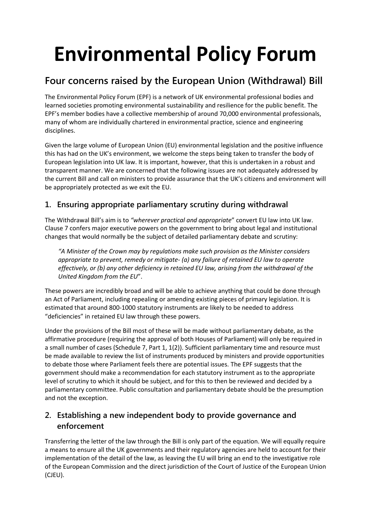# **Environmental Policy Forum**

## **Four concerns raised by the European Union (Withdrawal) Bill**

The Environmental Policy Forum (EPF) is a network of UK environmental professional bodies and learned societies promoting environmental sustainability and resilience for the public benefit. The EPF's member bodies have a collective membership of around 70,000 environmental professionals, many of whom are individually chartered in environmental practice, science and engineering disciplines.

Given the large volume of European Union (EU) environmental legislation and the positive influence this has had on the UK's environment, we welcome the steps being taken to transfer the body of European legislation into UK law. It is important, however, that this is undertaken in a robust and transparent manner. We are concerned that the following issues are not adequately addressed by the current Bill and call on ministers to provide assurance that the UK's citizens and environment will be appropriately protected as we exit the EU.

## **1. Ensuring appropriate parliamentary scrutiny during withdrawal**

The Withdrawal Bill's aim is to *"wherever practical and appropriate*" convert EU law into UK law. Clause 7 confers major executive powers on the government to bring about legal and institutional changes that would normally be the subject of detailed parliamentary debate and scrutiny:

*"A Minister of the Crown may by regulations make such provision as the Minister considers appropriate to prevent, remedy or mitigate- (a) any failure of retained EU law to operate effectively, or (b) any other deficiency in retained EU law, arising from the withdrawal of the United Kingdom from the EU*".

These powers are incredibly broad and will be able to achieve anything that could be done through an Act of Parliament, including repealing or amending existing pieces of primary legislation. It is estimated that around 800-1000 statutory instruments are likely to be needed to address "deficiencies" in retained EU law through these powers.

Under the provisions of the Bill most of these will be made without parliamentary debate, as the affirmative procedure (requiring the approval of both Houses of Parliament) will only be required in a small number of cases (Schedule 7, Part 1, 1(2)). Sufficient parliamentary time and resource must be made available to review the list of instruments produced by ministers and provide opportunities to debate those where Parliament feels there are potential issues. The EPF suggests that the government should make a recommendation for each statutory instrument as to the appropriate level of scrutiny to which it should be subject, and for this to then be reviewed and decided by a parliamentary committee. Public consultation and parliamentary debate should be the presumption and not the exception.

## **2. Establishing a new independent body to provide governance and enforcement**

Transferring the letter of the law through the Bill is only part of the equation. We will equally require a means to ensure all the UK governments and their regulatory agencies are held to account for their implementation of the detail of the law, as leaving the EU will bring an end to the investigative role of the European Commission and the direct jurisdiction of the Court of Justice of the European Union (CJEU).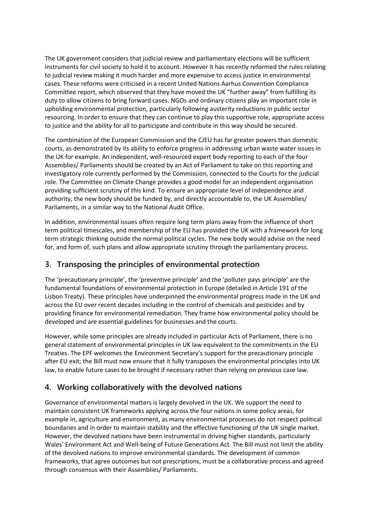The UK government considers that judicial review and parliamentary elections will be sufficient instruments for civil society to hold it to account. However it has recently reformed the rules relating to judicial review making it much harder and more expensive to access justice in environmental cases. These reforms were criticised in a recent United Nations Aarhus Convention Compliance Committee report, which observed that they have moved the UK "further away" from fulfilling its duty to allow citizens to bring forward cases. NGOs and ordinary citizens play an important role in upholding environmental protection, particularly following austerity reductions in public sector resourcing. In order to ensure that they can continue to play this supportive role, appropriate access to justice and the ability for all to participate and contribute in this way should be secured.

The combination of the European Commission and the CJEU has far greater powers than domestic courts, as demonstrated by its ability to enforce progress in addressing urban waste water issues in the UK for example. An independent, well-resourced expert body reporting to each of the four Assemblies/ Parliaments should be created by an Act of Parliament to take on this reporting and investigatory role currently performed by the Commission, connected to the Courts for the judicial role. The Committee on Climate Change provides a good model for an independent organisation providing sufficient scrutiny of this kind. To ensure an appropriate level of independence and authority, the new body should be funded by, and directly accountable to, the UK Assemblies/ Parliaments, in a similar way to the National Audit Office.

In addition, environmental issues often require long term plans away from the influence of short term political timescales, and membership of the EU has provided the UK with a framework for long term strategic thinking outside the normal political cycles. The new body would advise on the need for, and form of, such plans and allow appropriate scrutiny through the parliamentary process.

### **3. Transposing the principles of environmental protection**

The 'precautionary principle', the 'preventive principle' and the 'polluter pays principle' are the fundamental foundations of environmental protection in Europe (detailed in Article 191 of the Lisbon Treaty). These principles have underpinned the environmental progress made in the UK and across the EU over recent decades including in the control of chemicals and pesticides and by providing finance for environmental remediation. They frame how environmental policy should be developed and are essential guidelines for businesses and the courts.

However, while some principles are already included in particular Acts of Parliament, there is no general statement of environmental principles in UK law equivalent to the commitments in the EU Treaties. The EPF welcomes the Environment Secretary's support for the precautionary principle after EU exit; the Bill must now ensure that it fully transposes the environmental principles into UK law, to enable future cases to be brought if necessary rather than relying on previous case law.

### **4. Working collaboratively with the devolved nations**

Governance of environmental matters is largely devolved in the UK. We support the need to maintain consistent UK frameworks applying across the four nations in some policy areas, for example in, agriculture and environment, as many environmental processes do not respect political boundaries and in order to maintain stability and the effective functioning of the UK single market. However, the devolved nations have been instrumental in driving higher standards, particularly Wales' Environment Act and Well-being of Future Generations Act. The Bill must not limit the ability of the devolved nations to improve environmental standards. The development of common frameworks, that agree outcomes but not prescriptions, must be a collaborative process and agreed through consensus with their Assemblies/ Parliaments.